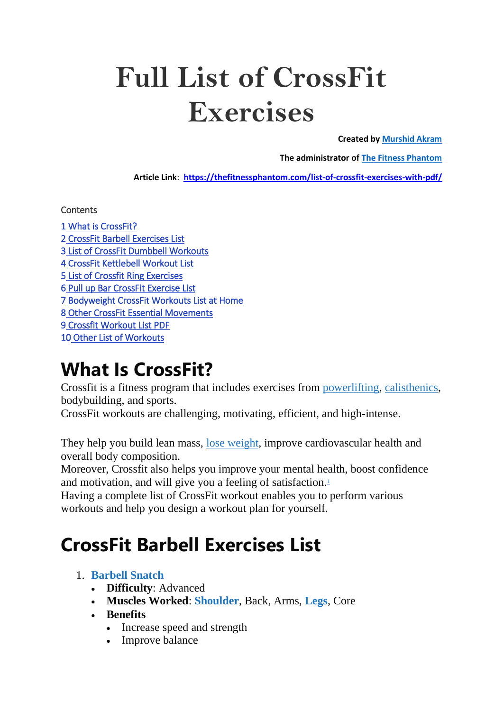# **Full List of CrossFit Exercises**

**Created by [Murshid Akram](https://www.instagram.com/murshid_akram/)**

**The administrator of [The Fitness Phantom](https://thefitnessphantom.com/)**

**Article Link**: **<https://thefitnessphantom.com/list-of-crossfit-exercises-with-pdf/>**

**Contents** 

[1 What is CrossFit?](https://thefitnessphantom.com/?p=6588&preview=true&_thumbnail_id=6603#What_is_CrossFit)  [2 CrossFit Barbell Exercises List](https://thefitnessphantom.com/?p=6588&preview=true&_thumbnail_id=6603#CrossFit_Barbell_Exercises_List)  [3 List of CrossFit Dumbbell Workouts](https://thefitnessphantom.com/?p=6588&preview=true&_thumbnail_id=6603#List_of_CrossFit_Dumbell_Workouts)  [4 CrossFit Kettlebell Workout List](https://thefitnessphantom.com/?p=6588&preview=true&_thumbnail_id=6603#CrossFit_Kettlebell_Workout_List)  [5 List of Crossfit Ring Exercises](https://thefitnessphantom.com/?p=6588&preview=true&_thumbnail_id=6603#List_of_Crossfit_Ring_Exercises)  [6 Pull up Bar CrossFit Exercise List](https://thefitnessphantom.com/?p=6588&preview=true&_thumbnail_id=6603#Pull_up_Bar_CrossFit_Exercise_List)  [7 Bodyweight CrossFit Workouts List at Home](https://thefitnessphantom.com/?p=6588&preview=true&_thumbnail_id=6603#Bodyweight_CrossFit_Workouts_List_at_Home)  [8 Other CrossFit Essential Movements](https://thefitnessphantom.com/?p=6588&preview=true&_thumbnail_id=6603#Other_CrossFit_Essential_Movements)  [9 Crossfit Workout List PDF](https://thefitnessphantom.com/?p=6588&preview=true&_thumbnail_id=6603#Crossfit_Workout_List_PDF)  [10 Other List of Workouts](https://thefitnessphantom.com/?p=6588&preview=true&_thumbnail_id=6603#Other_List_of_Workouts) 

### **What Is CrossFit?**

Crossfit is a fitness program that includes exercises from [powerlifting,](https://en.wikipedia.org/wiki/Powerlifting) [calisthenics,](https://thefitnessphantom.com/calisthenics-full-body-workout/) bodybuilding, and sports.

CrossFit workouts are challenging, motivating, efficient, and high-intense.

They help you build lean mass, lose [weight,](https://thefitnessphantom.com/barbell-workouts-for-weight-loss/) improve cardiovascular health and overall body composition.

Moreover, Crossfit also helps you improve your mental health, boost confidence and motivation, and will give you a feeling of satisfaction[.](javascript:void(0))<sup>1</sup>

Having a complete list of CrossFit workout enables you to perform various workouts and help you design a workout plan for yourself.

# **CrossFit Barbell Exercises List**

#### 1. **[Barbell](https://youtu.be/TL8SMp7RdXQ) Snatch**

- **Difficulty**: Advanced
- **Muscles Worked**: **[Shoulder](https://thefitnessphantom.com/barbell-shoulder-exercises/)**, Back, Arms, **[Legs](https://thefitnessphantom.com/barbell-leg-exercises/)**, Core
- **Benefits**
	- Increase speed and strength
	- Improve balance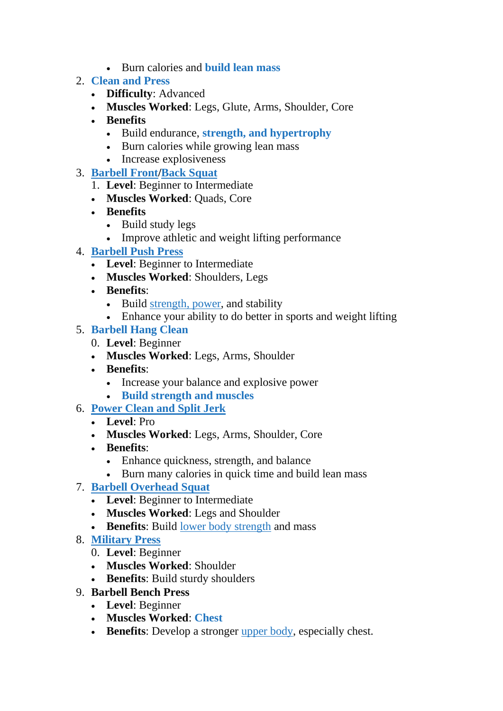- Burn calories and **[build](https://thefitnessphantom.com/barbell-workouts-for-mass-gain/) lean mass**
- 2. **[Clean](https://thefitnessphantom.com/clean-and-press/) and Press**
	- **Difficulty**: Advanced
	- **Muscles Worked**: Legs, Glute, Arms, Shoulder, Core
	- **Benefits**
		- Build endurance, **strength, and [hypertrophy](https://thefitnessphantom.com/push-pull-legs-6-day-split-for-strength-and-hypertrophy/)**
		- Burn calories while growing lean mass
		- Increase explosiveness
- 3. **[Barbell](https://www.youtube.com/watch?v=uYumuL_G_V0) Front/Back [Squat](https://www.youtube.com/watch?v=QmZAiBqPvZw)**
	- 1. **Level**: Beginner to Intermediate
	- **Muscles Worked**: Quads, Core
	- **Benefits**
		- Build study legs
		- Improve athletic and weight lifting performance
- 4. **[Barbell](https://www.youtube.com/watch?v=iaBVSJm78ko) Push Press**
	- **Level**: Beginner to Intermediate
	- **Muscles Worked**: Shoulders, Legs
	- **Benefits**:
		- Build [strength,](https://thefitnessphantom.com/strength-and-power-training/) power, and stability
		- Enhance your ability to do better in sports and weight lifting

#### 5. **[Barbell](https://www.youtube.com/watch?v=DaKC_BEN5bk) Hang Clean**

- 0. **Level**: Beginner
- **Muscles Worked**: Legs, Arms, Shoulder
- **Benefits**:
	- Increase your balance and explosive power
	- **Build [strength](https://thefitnessphantom.com/5-day-compound-workout-routine/) and muscles**
- 6. **[Power](https://www.youtube.com/watch?v=Sk1vhXhHO_A) Clean and Split Jerk**
	- **Level**: Pro
	- **Muscles Worked**: Legs, Arms, Shoulder, Core
	- **Benefits**:
		- Enhance quickness, strength, and balance
		- Burn many calories in quick time and build lean mass

#### 7. **Barbell [Overhead](https://www.youtube.com/watch?v=BYi-TBOtNTo) Squat**

- **Level**: Beginner to Intermediate
- **Muscles Worked**: Legs and Shoulder
- **Benefits**: Build lower body [strength](https://thefitnessphantom.com/hiit-lower-body-workout/) and mass
- 8. **[Military](https://thefitnessphantom.com/overhead-press/) Press**
	- 0. **Level**: Beginner
	- **Muscles Worked**: Shoulder
	- **Benefits**: Build sturdy shoulders
- 9. **Barbell Bench Press**
	- **Level**: Beginner
	- **Muscles Worked**: **[Chest](https://thefitnessphantom.com/barbell-chest-exercises-at-home-with-no-bench/)**
	- **Benefits**: Develop a stronger [upper](https://thefitnessphantom.com/beginner-upper-body-workout/) body, especially chest.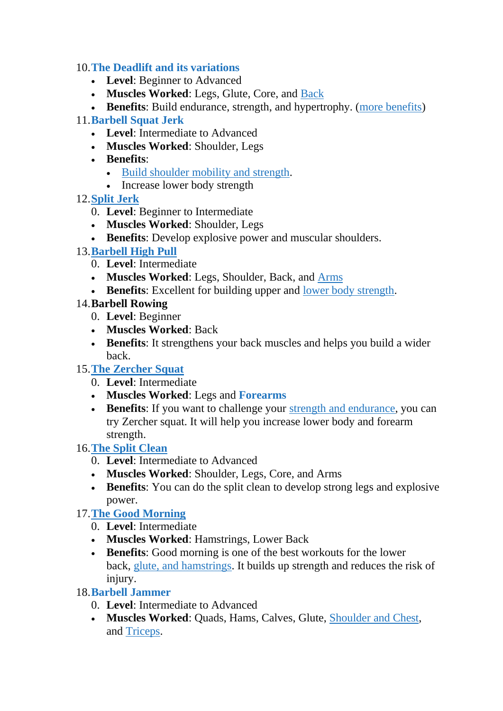#### 10.**The Deadlift and its [variations](https://thefitnessphantom.com/the-deadlift-form-variation-execution-and-benefits/)**

- **Level**: Beginner to Advanced
- **Muscles Worked**: Legs, Glute, Core, and [Back](https://thefitnessphantom.com/back-workouts-for-mass-and-strength/)

**Benefits**: Build endurance, strength, and hypertrophy. (more [benefits\)](https://thefitnessphantom.com/10-benefits-of-deadlift/)

#### 11.**[Barbell](https://youtu.be/sNGrEhszCsQ) Squat Jerk**

- **Level**: Intermediate to Advanced
- **Muscles Worked**: Shoulder, Legs
- **Benefits**:
	- Build [shoulder](https://thefitnessphantom.com/calisthenics-shoulder-workout/) mobility and strength.
	- Increase lower body strength
- 12.**[Split](https://www.youtube.com/watch?v=GUDkOtraHHY) Jerk**
	- 0. **Level**: Beginner to Intermediate
	- **Muscles Worked**: Shoulder, Legs
	- **Benefits**: Develop explosive power and muscular shoulders.

#### 13.**[Barbell](https://www.youtube.com/watch?v=4XpOul65Z1k) High Pull**

- 0. **Level**: Intermediate
- **Muscles Worked**: Legs, Shoulder, Back, and [Arms](https://thefitnessphantom.com/biceps-and-triceps-gym-workout-with-pdf/)
- **Benefits**: Excellent for building upper and lower body [strength.](https://thefitnessphantom.com/hiit-lower-body-workout/)

#### 14.**Barbell Rowing**

- 0. **Level**: Beginner
- **Muscles Worked**: Back
- **Benefits**: It strengthens your back muscles and helps you build a wider back.
- 15.**The [Zercher](https://www.crossfit.com/essentials/the-zercher-squat) Squat**
	- 0. **Level**: Intermediate
	- **Muscles Worked**: Legs and **[Forearms](https://thefitnessphantom.com/dumbbell-wrist-curls/)**
	- **Benefits**: If you want to challenge your strength and [endurance,](https://thefitnessphantom.com/2-hour-cardio-workout-plan/) you can try Zercher squat. It will help you increase lower body and forearm strength.

#### 16.**The Split [Clean](https://www.crossfit.com/essentials/the-split-clean)**

- 0. **Level**: Intermediate to Advanced
- **Muscles Worked**: Shoulder, Legs, Core, and Arms
- **Benefits**: You can do the split clean to develop strong legs and explosive power.

#### 17.**The Good [Morning](https://www.youtube.com/watch?v=YA-h3n9L4YU)**

- 0. **Level**: Intermediate
- **Muscles Worked**: Hamstrings, Lower Back
- **Benefits**: Good morning is one of the best workouts for the lower back, glute, and [hamstrings.](https://thefitnessphantom.com/glute-and-hamstring-workout/) It builds up strength and reduces the risk of injury.

#### 18.**Barbell [Jammer](https://www.acefitness.org/education-and-resources/lifestyle/exercise-library/236/barbell-jammers/)**

- 0. **Level**: Intermediate to Advanced
- **Muscles Worked**: Quads, Hams, Calves, Glute, [Shoulder](https://thefitnessphantom.com/best-chest-and-shoulder-workout/) and Chest, and [Triceps.](https://thefitnessphantom.com/barbell-exercises-for-triceps/)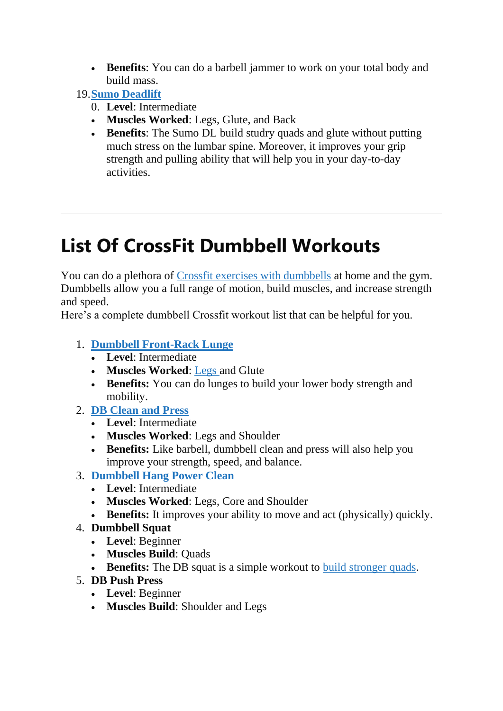**Benefits**: You can do a barbell jammer to work on your total body and build mass.

19.**Sumo [Deadlift](https://thefitnessphantom.com/sumo-deadlift-form-execution-and-benefits/)**

- 0. **Level**: Intermediate
- **Muscles Worked**: Legs, Glute, and Back
- **Benefits**: The Sumo DL build studry quads and glute without putting much stress on the lumbar spine. Moreover, it improves your grip strength and pulling ability that will help you in your day-to-day activities.

# **List Of CrossFit Dumbbell Workouts**

You can do a plethora of Crossfit exercises with [dumbbells](https://thefitnessphantom.com/dumbbell-crossfit-wod/) at home and the gym. Dumbbells allow you a full range of motion, build muscles, and increase strength and speed.

Here's a complete dumbbell Crossfit workout list that can be helpful for you.

- 1. **Dumbbell [Front-Rack](https://www.youtube.com/watch?v=7EmwtpAI8cM) Lunge**
	- **Level**: Intermediate
	- **Muscles Worked**: [Legs](https://thefitnessphantom.com/a-guide-to-the-dumbbell-leg-exercises/) and Glute
	- **Benefits:** You can do lunges to build your lower body strength and mobility.
- 2. **DB [Clean](https://www.youtube.com/watch?v=8G-jnVP_f2s) and Press**
	- **Level**: Intermediate
	- **Muscles Worked**: Legs and Shoulder
	- **Benefits:** Like barbell, dumbbell clean and press will also help you improve your strength, speed, and balance.
- 3. **[Dumbbell](https://www.youtube.com/watch?v=myc1taX-uBs) Hang Power Clean**
	- **Level**: Intermediate
	- **Muscles Worked**: Legs, Core and Shoulder
	- **Benefits:** It improves your ability to move and act (physically) quickly.
- 4. **Dumbbell Squat**
	- **Level**: Beginner
	- **Muscles Build**: Quads
	- **Benefits:** The DB squat is a simple workout to build [stronger](https://thefitnessphantom.com/dumbbell-leg-extension/) quads.
- 5. **DB Push Press**
	- **Level**: Beginner
	- **Muscles Build**: Shoulder and Legs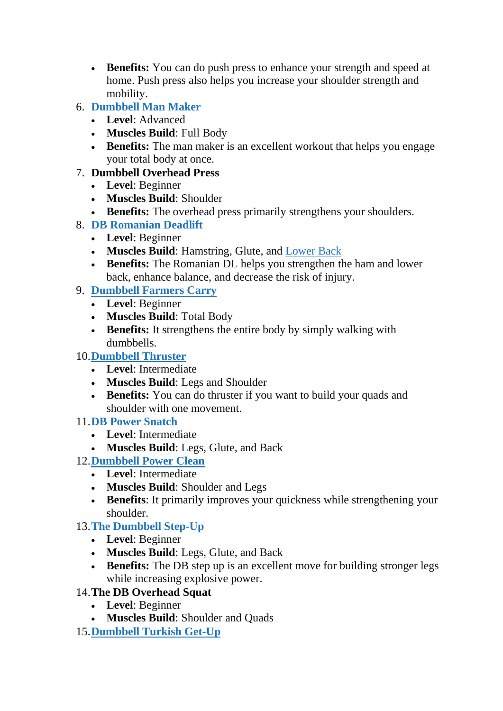- **Benefits:** You can do push press to enhance your strength and speed at home. Push press also helps you increase your shoulder strength and mobility.
- 6. **[Dumbbell](https://www.youtube.com/watch?v=iMNnvhg1JcM) Man Maker**
	- **Level**: Advanced
	- **Muscles Build**: Full Body
	- **Benefits:** The man maker is an excellent workout that helps you engage your total body at once.

#### 7. **Dumbbell Overhead Press**

- **Level**: Beginner
- **Muscles Build**: Shoulder
- **Benefits:** The overhead press primarily strengthens your shoulders.
- 8. **DB [Romanian](https://thefitnessphantom.com/dumbbell-romanian-deadlift/) Deadlift**
	- **Level**: Beginner
	- **Muscles Build**: Hamstring, Glute, and [Lower](https://thefitnessphantom.com/dumbbell-workouts-for-lower-back/) Back
	- **Benefits:** The Romanian DL helps you strengthen the ham and lower back, enhance balance, and decrease the risk of injury.

#### 9. **[Dumbbell](https://www.youtube.com/watch?v=p5MNNosenJc) Farmers Carry**

- **Level**: Beginner
- **Muscles Build**: Total Body
- Benefits: It strengthens the entire body by simply walking with dumbbells.

#### 10.**[Dumbbell](https://www.youtube.com/watch?v=M5gEwLTtWbg) Thruster**

- **Level**: Intermediate
- **Muscles Build**: Legs and Shoulder
- **Benefits:** You can do thruster if you want to build your quads and shoulder with one movement.

#### 11.**DB Power [Snatch](https://www.youtube.com/watch?v=9520DJiFmvE)**

- **Level**: Intermediate
- **Muscles Build**: Legs, Glute, and Back
- 12.**[Dumbbell](https://www.youtube.com/watch?v=3PnWQwabq4Y) Power Clean**
	- **Level**: Intermediate
	- **Muscles Build**: Shoulder and Legs
	- **Benefits**: It primarily improves your quickness while strengthening your shoulder.

#### 13.**The [Dumbbell](https://thefitnessphantom.com/glute-and-hamstring-workout/) Step-Up**

- **Level**: Beginner
- **Muscles Build**: Legs, Glute, and Back
- **Benefits:** The DB step up is an excellent move for building stronger legs while increasing explosive power.

#### 14.**The DB Overhead Squat**

- **Level**: Beginner
- **Muscles Build**: Shoulder and Quads
- 15.**[Dumbbell](https://www.youtube.com/watch?v=saYKvqSscuY) Turkish Get-Up**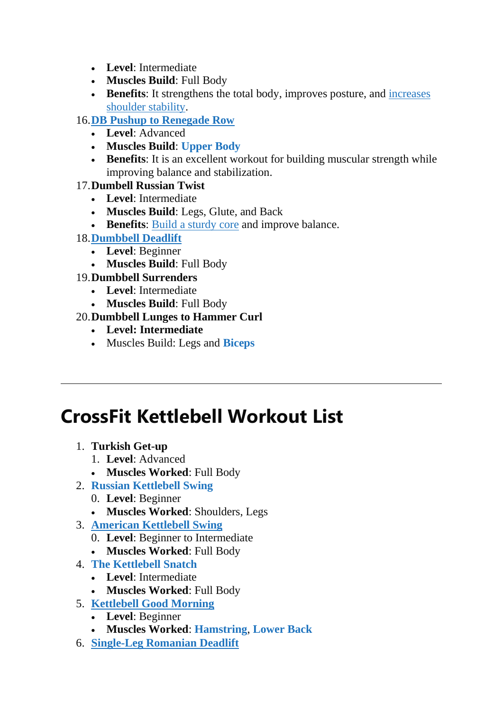- **Level**: Intermediate
- **Muscles Build**: Full Body
- Benefits: It strengthens the total body, improves posture, and *[increases](https://thefitnessphantom.com/dumbbell-exercises-for-shoulders/)* [shoulder](https://thefitnessphantom.com/dumbbell-exercises-for-shoulders/) stability.

#### 16.**DB Pushup to [Renegade](https://thefitnessphantom.com/dumbbell-push-ups-and-their-benefits/) Row**

- **Level**: Advanced
- **Muscles Build**: **[Upper](https://thefitnessphantom.com/upper-body-dumbbell-workout-with-pdf/) Body**
- **Benefits**: It is an excellent workout for building muscular strength while improving balance and stabilization.

#### 17.**Dumbell Russian Twist**

- **Level**: Intermediate
- **Muscles Build**: Legs, Glute, and Back
- Benefits: **Build a [sturdy](https://thefitnessphantom.com/dumbbell-oblique-exercises/) core and improve balance**.

#### 18.**[Dumbbell](https://thefitnessphantom.com/dumbbell-deadlift/) Deadlift**

- **Level**: Beginner
- **Muscles Build**: Full Body

#### 19.**Dumbbell Surrenders**

- **Level**: Intermediate
- **Muscles Build**: Full Body

#### 20.**Dumbbell Lunges to Hammer Curl**

- **Level: Intermediate**
- Muscles Build: Legs and **[Biceps](https://thefitnessphantom.com/best-dumbbell-exercises-for-bigger-biceps/)**

# **CrossFit Kettlebell Workout List**

- 1. **Turkish Get-up**
	- 1. **Level**: Advanced
	- **Muscles Worked**: Full Body
- 2. **Russian [Kettlebell](https://www.youtube.com/watch?v=KkYOW3jDhoM) Swing**
	- 0. **Level**: Beginner
	- **Muscles Worked**: Shoulders, Legs
- 3. **[American](https://www.youtube.com/watch?v=d94xX-AQZ0A) Kettlebell Swing**
	- 0. **Level**: Beginner to Intermediate
	- **Muscles Worked**: Full Body
- 4. **The [Kettlebell](https://www.youtube.com/watch?v=ZQccQg4kDf8) Snatch**
	- **Level**: Intermediate
	- **Muscles Worked**: Full Body
- 5. **[Kettlebell](https://www.youtube.com/watch?v=FiVuO6Y5UcU) Good Morning**
	- **Level**: Beginner
	- **Muscles Worked**: **[Hamstring](https://thefitnessphantom.com/kettlebell-hamstring-exercises/)**, **[Lower](https://thefitnessphantom.com/kettlebell-lower-back-exercises/) Back**
- 6. **[Single-Leg](https://www.youtube.com/watch?v=b9bHy3ojQWA) Romanian Deadlift**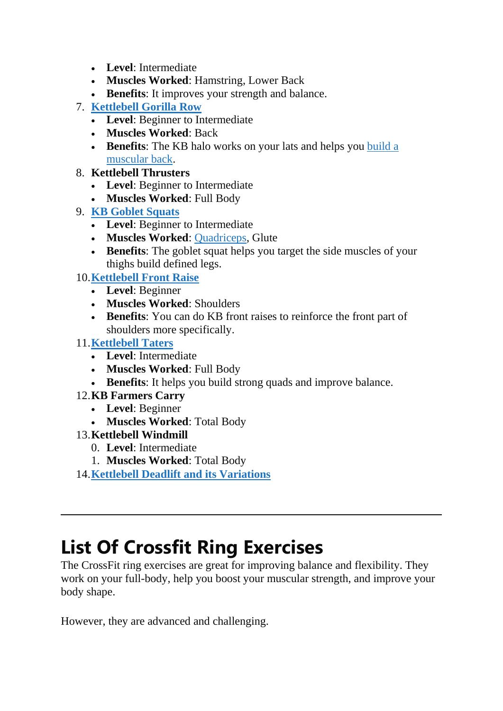- **Level**: Intermediate
- **Muscles Worked**: Hamstring, Lower Back
- **Benefits**: It improves your strength and balance.
- 7. **[Kettlebell](https://www.youtube.com/watch?v=pT31jP44ja4) Gorilla Row**
	- **Level**: Beginner to Intermediate
	- **Muscles Worked**: Back
	- **Benefits**: The KB halo works on your lats and helps you [build](https://thefitnessphantom.com/kettlebell-lat-exercises-for-stronger-back/) a [muscular](https://thefitnessphantom.com/kettlebell-lat-exercises-for-stronger-back/) back.
- 8. **Kettlebell Thrusters**
	- **Level**: Beginner to Intermediate
	- **Muscles Worked**: Full Body
- 9. **KB Goblet [Squats](https://www.youtube.com/watch?v=MWHIs0zxkCU)**
	- **Level**: Beginner to Intermediate
	- **Muscles Worked**: [Quadriceps,](https://thefitnessphantom.com/kettlebell-quad-exercises/) Glute
	- **Benefits**: The goblet squat helps you target the side muscles of your thighs build defined legs.
- 10.**[Kettlebell](https://www.youtube.com/watch?v=WXa8wFaIMXk) Front Raise**
	- **Level**: Beginner
	- **Muscles Worked**: Shoulders
	- **Benefits**: You can do KB front raises to reinforce the front part of shoulders more specifically.

#### 11.**[Kettlebell](https://youtu.be/v2R_w2dvEmY) Taters**

- **Level**: Intermediate
- **Muscles Worked**: Full Body
- **Benefits**: It helps you build strong quads and improve balance.
- 12.**KB Farmers Carry**
	- **Level**: Beginner
	- **Muscles Worked**: Total Body
- 13.**Kettlebell Windmill**
	- 0. **Level**: Intermediate
	- 1. **Muscles Worked**: Total Body
- 14.**Kettlebell Deadlift and its [Variations](https://kettlebellsworkouts.com/kettlebell-deadlift/)**

### **List Of Crossfit Ring Exercises**

The CrossFit ring exercises are great for improving balance and flexibility. They work on your full-body, help you boost your muscular strength, and improve your body shape.

However, they are advanced and challenging.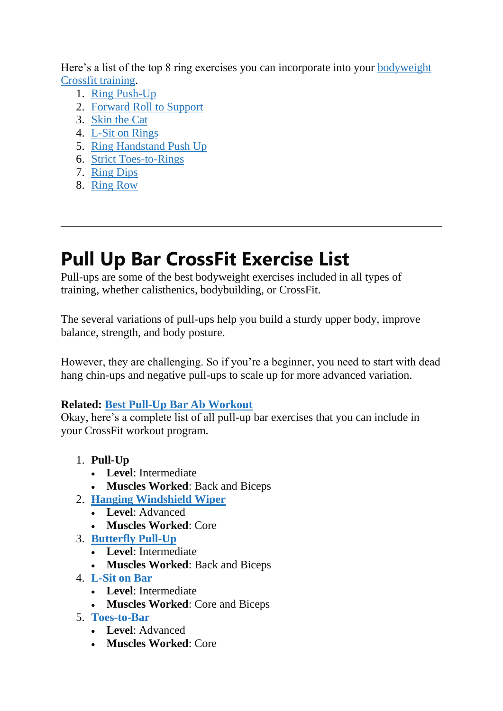Here's a list of the top 8 ring exercises you can incorporate into your [bodyweight](https://thefitnessphantom.com/everything-about-bodyweight-crossfit-workouts/) Crossfit [training.](https://thefitnessphantom.com/everything-about-bodyweight-crossfit-workouts/)

- 1. Ring [Push-Up](https://www.youtube.com/watch?v=FRiiZRhapeU)
- 2. [Forward](https://youtu.be/XyhSbYbX8j0) Roll to Support
- 3. [Skin](https://www.youtube.com/watch?v=avlj56L_E-A) the Cat
- 4. L-Sit on [Rings](https://www.youtube.com/watch?v=lwcHmXvw-T4)
- 5. Ring [Handstand](https://youtu.be/nUt-_d3zP2w) Push Up
- 6. Strict [Toes-to-Rings](https://www.youtube.com/watch?v=1zp-B1Vb_Vs)
- 7. [Ring](https://www.youtube.com/watch?v=EznLCDBAPIU) Dips
- 8. [Ring](https://www.youtube.com/watch?v=xhlReCpAE9k) Row

# **Pull Up Bar CrossFit Exercise List**

Pull-ups are some of the best bodyweight exercises included in all types of training, whether calisthenics, bodybuilding, or CrossFit.

The several variations of pull-ups help you build a sturdy upper body, improve balance, strength, and body posture.

However, they are challenging. So if you're a beginner, you need to start with dead hang chin-ups and negative pull-ups to scale up for more advanced variation.

#### **Related: Best Pull-Up Bar Ab [Workout](https://thefitnessphantom.com/pull-up-bar-ab-workout/)**

Okay, here's a complete list of all pull-up bar exercises that you can include in your CrossFit workout program.

- 1. **Pull-Up**
	- **Level**: Intermediate
	- **Muscles Worked**: Back and Biceps
- 2. **Hanging [Windshield](https://www.youtube.com/watch?v=-nbJbHMLB00) Wiper**
	- **Level**: Advanced
	- **Muscles Worked**: Core
- 3. **[Butterfly](https://www.youtube.com/watch?v=OenVG15QMj8) Pull-Up**
	- **Level**: Intermediate
	- **Muscles Worked**: Back and Biceps
- 4. **[L-Sit](https://www.youtube.com/watch?v=XSkkrxgMDWE) on Bar**
	- **Level**: Intermediate
	- **Muscles Worked**: Core and Biceps
- 5. **[Toes-to-Bar](https://www.youtube.com/watch?v=_03pCKOv4l4)**
	- **Level**: Advanced
	- **Muscles Worked**: Core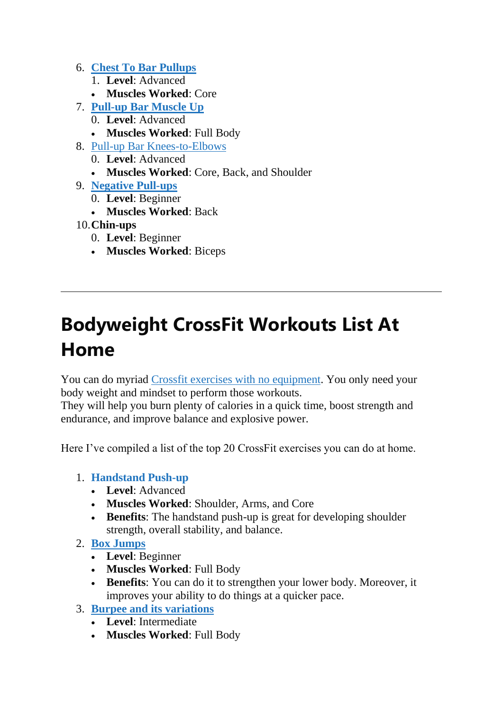- 6. **Chest To Bar [Pullups](https://www.youtube.com/watch?v=7jyKGpHW9XQ)**
	- 1. **Level**: Advanced
	- **Muscles Worked**: Core
- 7. **[Pull-up](https://www.youtube.com/watch?v=o69WaY_7k2c) Bar Muscle Up**
	- 0. **Level**: Advanced
	- **Muscles Worked**: Full Body
- 8. Pull-up Bar [Knees-to-Elbows](https://www.youtube.com/watch?v=MDCvXoujTCg)
	- 0. **Level**: Advanced
	- **Muscles Worked**: Core, Back, and Shoulder
- 9. **[Negative](https://www.youtube.com/watch?v=EkpJkHpJXmM) Pull-ups**
	- 0. **Level**: Beginner
	- **Muscles Worked**: Back
- 10.**Chin-ups**
	- 0. **Level**: Beginner
	- **Muscles Worked**: Biceps

# **Bodyweight CrossFit Workouts List At Home**

You can do myriad Crossfit exercises with no [equipment.](https://thefitnessphantom.com/25-crossfit-workouts-without-equipment/) You only need your body weight and mindset to perform those workouts.

They will help you burn plenty of calories in a quick time, boost strength and endurance, and improve balance and explosive power.

Here I've compiled a list of the top 20 CrossFit exercises you can do at home.

#### 1. **[Handstand](https://www.youtube.com/watch?v=_z6JgP219T8) Push-up**

- **Level**: Advanced
- **Muscles Worked**: Shoulder, Arms, and Core
- **Benefits**: The handstand push-up is great for developing shoulder strength, overall stability, and balance.
- 2. **Box [Jumps](https://www.youtube.com/watch?v=NBY9-kTuHEk)**
	- **Level**: Beginner
	- **Muscles Worked**: Full Body
	- **Benefits**: You can do it to strengthen your lower body. Moreover, it improves your ability to do things at a quicker pace.
- 3. **Burpee and its [variations](https://www.youtube.com/watch?v=nJTkHSOZyoI)**
	- **Level**: Intermediate
	- **Muscles Worked**: Full Body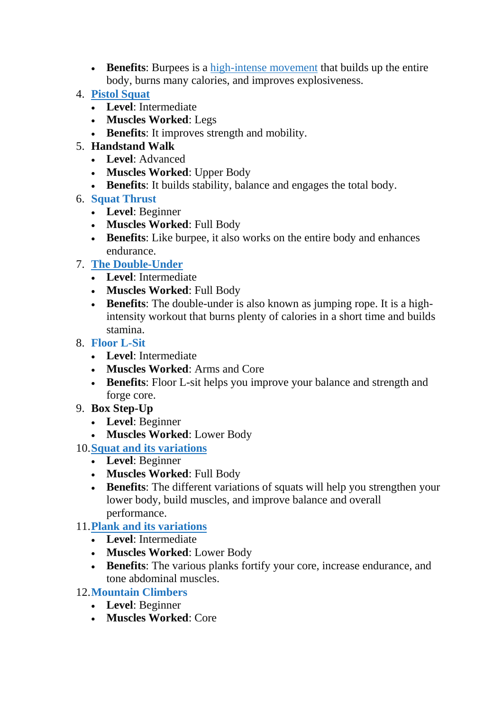- **Benefits**: Burpees is a [high-intense](https://thefitnessphantom.com/dumbbell-hiit-workout-plan/) movement that builds up the entire body, burns many calories, and improves explosiveness.
- 4. **Pistol [Squat](https://www.youtube.com/watch?v=DjxQrgLsty4)**
	- **Level**: Intermediate
	- **Muscles Worked**: Legs
	- **Benefits**: It improves strength and mobility.
- 5. **Handstand Walk**
	- **Level**: Advanced
	- **Muscles Worked**: Upper Body
	- **Benefits**: It builds stability, balance and engages the total body.
- 6. **Squat [Thrust](https://www.youtube.com/watch?v=fysU2ldlXSY)**
	- **Level**: Beginner
	- **Muscles Worked**: Full Body
	- **Benefits**: Like burpee, it also works on the entire body and enhances endurance.
- 7. **The [Double-Under](https://www.youtube.com/watch?v=82jNjDS19lg)**
	- **Level**: Intermediate
	- **Muscles Worked**: Full Body
	- **Benefits**: The double-under is also known as jumping rope. It is a highintensity workout that burns plenty of calories in a short time and builds stamina.
- 8. **[Floor](https://www.youtube.com/watch?v=tl7U8Z6vz6E) L-Sit**
	- **Level**: Intermediate
	- **Muscles Worked**: Arms and Core
	- **Benefits**: Floor L-sit helps you improve your balance and strength and forge core.
- 9. **Box Step-Up**
	- **Level**: Beginner
	- **Muscles Worked**: Lower Body
- 10.**Squat and its [variations](https://thefitnessphantom.com/different-types-of-squat-variations-and-benefits/)**
	- **Level**: Beginner
	- **Muscles Worked**: Full Body
	- **Benefits**: The different variations of squats will help you strengthen your lower body, build muscles, and improve balance and overall performance.

#### 11.**Plank and its [variations](https://thefitnessphantom.com/weighted-planks/)**

- **Level**: Intermediate
- **Muscles Worked**: Lower Body
- **Benefits**: The various planks fortify your core, increase endurance, and tone abdominal muscles.

#### 12.**[Mountain](https://www.youtube.com/watch?v=QMc0VQNZKvw) Climbers**

- **Level**: Beginner
- **Muscles Worked**: Core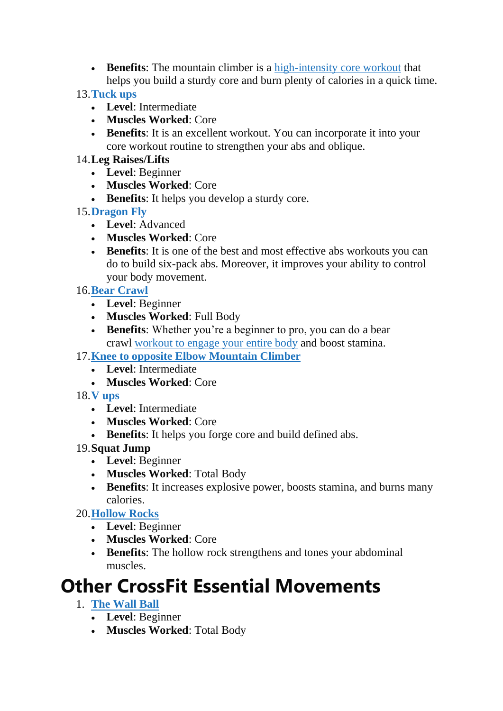- **Benefits**: The mountain climber is a [high-intensity](https://thefitnessphantom.com/hiit-core-workout/) core workout that helps you build a sturdy core and burn plenty of calories in a quick time.
- 13.**[Tuck](https://www.youtube.com/watch?v=vb6DC9_NDcE) ups**
	- **Level**: Intermediate
	- **Muscles Worked**: Core
	- **Benefits**: It is an excellent workout. You can incorporate it into your core workout routine to strengthen your abs and oblique.
- 14.**Leg Raises/Lifts**
	- **Level**: Beginner
	- **Muscles Worked**: Core
	- **Benefits**: It helps you develop a sturdy core.
- 15.**[Dragon](https://www.youtube.com/watch?v=SRg4OaSMpQ8) Fly**
	- **Level**: Advanced
	- **Muscles Worked**: Core
	- **Benefits**: It is one of the best and most effective abs workouts you can do to build six-pack abs. Moreover, it improves your ability to control your body movement.
- 16.**Bear [Crawl](https://www.youtube.com/watch?v=tMRBVBMAga4)**
	- **Level**: Beginner
	- **Muscles Worked**: Full Body
	- **Benefits**: Whether you're a beginner to pro, you can do a bear crawl [workout](https://thefitnessphantom.com/3-day-full-body-workout-at-home/) to engage your entire body and boost stamina.
- 17.**Knee to opposite Elbow [Mountain](https://www.youtube.com/watch?v=fgzFavry8EE) Climber**
	- **Level**: Intermediate
	- **Muscles Worked**: Core
- 18.**V [ups](https://www.youtube.com/watch?v=7UVgs18Y1P4)**
	- **Level**: Intermediate
	- **Muscles Worked**: Core
	- **Benefits**: It helps you forge core and build defined abs.
- 19.**Squat Jump**
	- **Level**: Beginner
	- **Muscles Worked**: Total Body
	- **Benefits**: It increases explosive power, boosts stamina, and burns many calories.

20.**[Hollow](https://www.youtube.com/watch?v=SfkuOb_1GK8) Rocks**

- **Level**: Beginner
- **Muscles Worked**: Core
- **Benefits**: The hollow rock strengthens and tones your abdominal muscles.

### **Other CrossFit Essential Movements**

- 1. **The [Wall](https://www.youtube.com/watch?v=fpUD0mcFp_0) Ball**
	- **Level**: Beginner
	- **Muscles Worked**: Total Body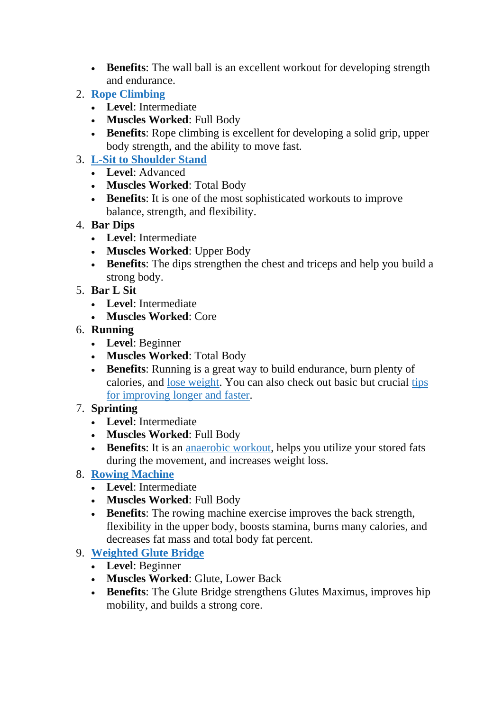- **Benefits**: The wall ball is an excellent workout for developing strength and endurance.
- 2. **Rope [Climbing](https://www.youtube.com/watch?v=Pa4QUC9AvuA)**
	- **Level**: Intermediate
	- **Muscles Worked**: Full Body
	- **Benefits**: Rope climbing is excellent for developing a solid grip, upper body strength, and the ability to move fast.
- 3. **L-Sit to [Shoulder](https://www.crossfit.com/essentials/the-l-sit-to-shoulder-stand) Stand**
	- **Level**: Advanced
	- **Muscles Worked**: Total Body
	- **Benefits**: It is one of the most sophisticated workouts to improve balance, strength, and flexibility.

#### 4. **Bar Dips**

- **Level**: Intermediate
- **Muscles Worked**: Upper Body
- **Benefits**: The dips strengthen the chest and triceps and help you build a strong body.
- 5. **Bar L Sit**
	- **Level**: Intermediate
	- **Muscles Worked**: Core
- 6. **Running**
	- **Level**: Beginner
	- **Muscles Worked**: Total Body
	- **Benefits**: Running is a great way to build endurance, burn plenty of calories, and lose [weight.](https://thefitnessphantom.com/proven-exercises-to-lose-weight-faster-at-home/) You can also check out basic but crucial [tips](https://thefitnessphantom.com/how-to-run-faster-and-longer/) for [improving](https://thefitnessphantom.com/how-to-run-faster-and-longer/) longer and faster.

#### 7. **Sprinting**

- **Level**: Intermediate
- **Muscles Worked**: Full Body
- **Benefits**: It is an [anaerobic](https://thefitnessphantom.com/best-anaerobic-exercises-with-examples/) workout, helps you utilize your stored fats during the movement, and increases weight loss.

#### 8. **Rowing [Machine](https://thefitnessphantom.com/hiit-rowing-machine-workout/)**

- **Level**: Intermediate
- **Muscles Worked**: Full Body
- **Benefits**: The rowing machine exercise improves the back strength, flexibility in the upper body, boosts stamina, burns many calories, and decreases fat mass and total body fat percent.

#### 9. **[Weighted](https://www.youtube.com/watch?v=gdU5APo-gZU) Glute Bridge**

- **Level**: Beginner
- **Muscles Worked**: Glute, Lower Back
- **Benefits**: The Glute Bridge strengthens Glutes Maximus, improves hip mobility, and builds a strong core.